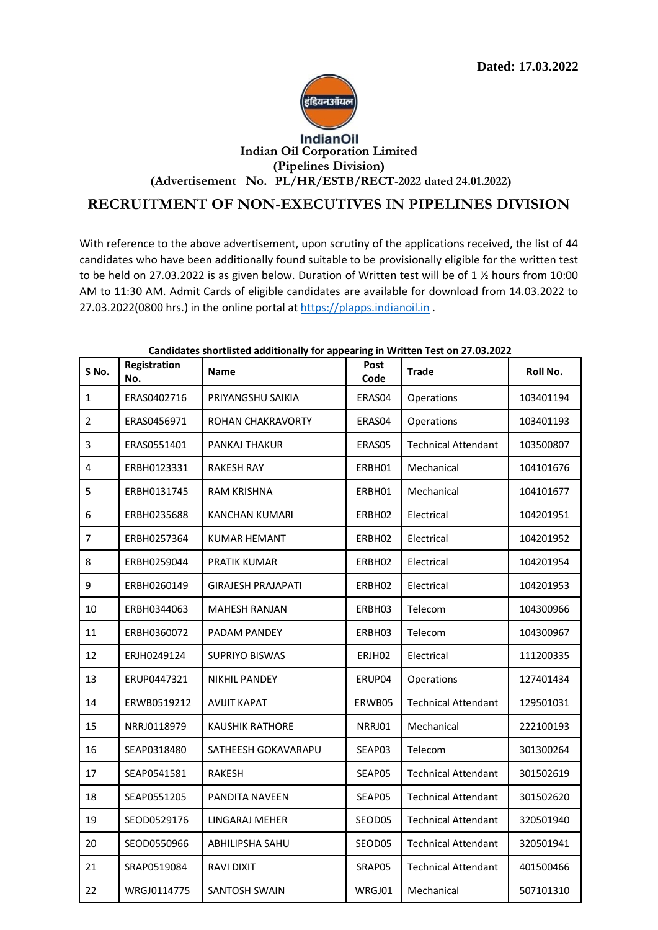

## **IndianOil Indian Oil Corporation Limited (Pipelines Division) (Advertisement No. PL/HR/ESTB/RECT-2022 dated 24.01.2022)**

## **RECRUITMENT OF NON-EXECUTIVES IN PIPELINES DIVISION**

With reference to the above advertisement, upon scrutiny of the applications received, the list of 44 candidates who have been additionally found suitable to be provisionally eligible for the written test to be held on 27.03.2022 is as given below. Duration of Written test will be of 1 ½ hours from 10:00 AM to 11:30 AM. Admit Cards of eligible candidates are available for download from 14.03.2022 to 27.03.2022(0800 hrs.) in the online portal at [https://plapps.indianoil.in](https://plapps.indianoil.in/) .

| S No.          | Registration<br>No. | Candidates shortnsted additionally for appearing in written rest on 27.03.2022<br>Name | <b>Post</b><br>Code | <b>Trade</b>               | Roll No.  |
|----------------|---------------------|----------------------------------------------------------------------------------------|---------------------|----------------------------|-----------|
| $\mathbf{1}$   | ERAS0402716         | PRIYANGSHU SAIKIA                                                                      | ERAS04              | Operations                 | 103401194 |
| $\overline{2}$ | ERAS0456971         | ROHAN CHAKRAVORTY                                                                      | ERAS04              | Operations                 | 103401193 |
| 3              | ERAS0551401         | PANKAJ THAKUR                                                                          | ERAS05              | <b>Technical Attendant</b> | 103500807 |
| 4              | ERBH0123331         | <b>RAKESH RAY</b>                                                                      | ERBH01              | Mechanical                 | 104101676 |
| 5              | ERBH0131745         | <b>RAM KRISHNA</b>                                                                     | ERBH01              | Mechanical                 | 104101677 |
| 6              | ERBH0235688         | KANCHAN KUMARI                                                                         | ERBH02              | Electrical                 | 104201951 |
| $\overline{7}$ | ERBH0257364         | <b>KUMAR HEMANT</b>                                                                    | ERBH02              | Electrical                 | 104201952 |
| 8              | ERBH0259044         | <b>PRATIK KUMAR</b>                                                                    | ERBH02              | Electrical                 | 104201954 |
| 9              | ERBH0260149         | <b>GIRAJESH PRAJAPATI</b>                                                              | ERBH02              | Electrical                 | 104201953 |
| 10             | ERBH0344063         | <b>MAHESH RANJAN</b>                                                                   | ERBH03              | Telecom                    | 104300966 |
| 11             | ERBH0360072         | PADAM PANDEY                                                                           | ERBH03              | Telecom                    | 104300967 |
| 12             | ERJH0249124         | <b>SUPRIYO BISWAS</b>                                                                  | ERJH02              | Electrical                 | 111200335 |
| 13             | ERUP0447321         | <b>NIKHIL PANDEY</b>                                                                   | ERUP04              | Operations                 | 127401434 |
| 14             | ERWB0519212         | <b>AVIJIT KAPAT</b>                                                                    | ERWB05              | <b>Technical Attendant</b> | 129501031 |
| 15             | NRRJ0118979         | <b>KAUSHIK RATHORE</b>                                                                 | NRRJ01              | Mechanical                 | 222100193 |
| 16             | SEAP0318480         | SATHEESH GOKAVARAPU                                                                    | SEAP03              | Telecom                    | 301300264 |
| 17             | SEAP0541581         | RAKESH                                                                                 | SEAP05              | <b>Technical Attendant</b> | 301502619 |
| 18             | SEAP0551205         | PANDITA NAVEEN                                                                         | SEAP05              | <b>Technical Attendant</b> | 301502620 |
| 19             | SEOD0529176         | LINGARAJ MEHER                                                                         | SEOD05              | Technical Attendant        | 320501940 |
| 20             | SEOD0550966         | ABHILIPSHA SAHU                                                                        | SEOD05              | <b>Technical Attendant</b> | 320501941 |
| 21             | SRAP0519084         | <b>RAVI DIXIT</b>                                                                      | SRAP05              | <b>Technical Attendant</b> | 401500466 |
| 22             | WRGJ0114775         | SANTOSH SWAIN                                                                          | WRGJ01              | Mechanical                 | 507101310 |

## **Candidates shortlisted additionally for appearing in Written Test on 27.03.2022**